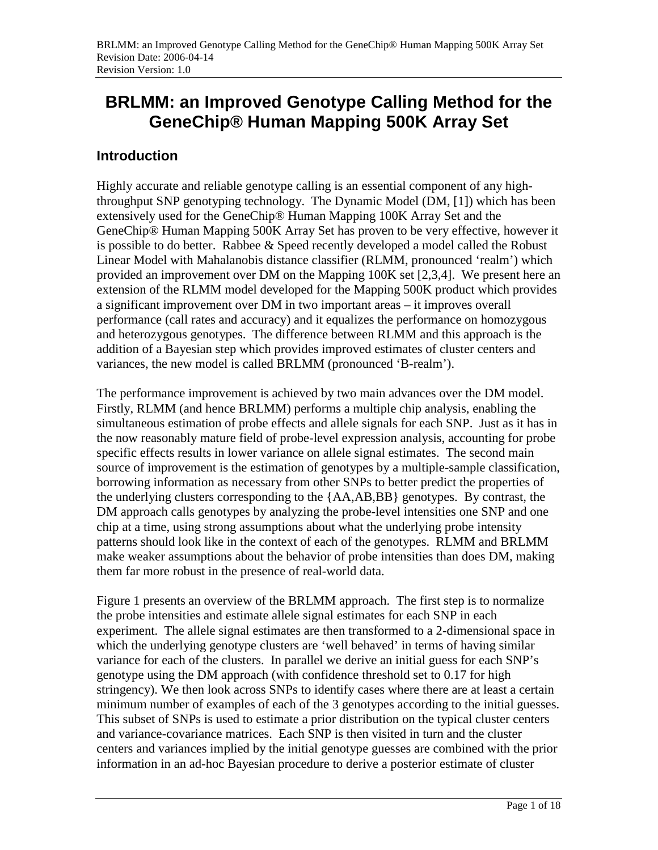# **BRLMM: an Improved Genotype Calling Method for the GeneChip® Human Mapping 500K Array Set**

### **Introduction**

Highly accurate and reliable genotype calling is an essential component of any highthroughput SNP genotyping technology. The Dynamic Model (DM, [1]) which has been extensively used for the GeneChip® Human Mapping 100K Array Set and the GeneChip® Human Mapping 500K Array Set has proven to be very effective, however it is possible to do better. Rabbee  $&$  Speed recently developed a model called the Robust Linear Model with Mahalanobis distance classifier (RLMM, pronounced 'realm') which provided an improvement over DM on the Mapping 100K set [2,3,4]. We present here an extension of the RLMM model developed for the Mapping 500K product which provides a significant improvement over DM in two important areas – it improves overall performance (call rates and accuracy) and it equalizes the performance on homozygous and heterozygous genotypes. The difference between RLMM and this approach is the addition of a Bayesian step which provides improved estimates of cluster centers and variances, the new model is called BRLMM (pronounced 'B-realm').

The performance improvement is achieved by two main advances over the DM model. Firstly, RLMM (and hence BRLMM) performs a multiple chip analysis, enabling the simultaneous estimation of probe effects and allele signals for each SNP. Just as it has in the now reasonably mature field of probe-level expression analysis, accounting for probe specific effects results in lower variance on allele signal estimates. The second main source of improvement is the estimation of genotypes by a multiple-sample classification, borrowing information as necessary from other SNPs to better predict the properties of the underlying clusters corresponding to the {AA,AB,BB} genotypes. By contrast, the DM approach calls genotypes by analyzing the probe-level intensities one SNP and one chip at a time, using strong assumptions about what the underlying probe intensity patterns should look like in the context of each of the genotypes. RLMM and BRLMM make weaker assumptions about the behavior of probe intensities than does DM, making them far more robust in the presence of real-world data.

Figure 1 presents an overview of the BRLMM approach. The first step is to normalize the probe intensities and estimate allele signal estimates for each SNP in each experiment. The allele signal estimates are then transformed to a 2-dimensional space in which the underlying genotype clusters are 'well behaved' in terms of having similar variance for each of the clusters. In parallel we derive an initial guess for each SNP's genotype using the DM approach (with confidence threshold set to 0.17 for high stringency). We then look across SNPs to identify cases where there are at least a certain minimum number of examples of each of the 3 genotypes according to the initial guesses. This subset of SNPs is used to estimate a prior distribution on the typical cluster centers and variance-covariance matrices. Each SNP is then visited in turn and the cluster centers and variances implied by the initial genotype guesses are combined with the prior information in an ad-hoc Bayesian procedure to derive a posterior estimate of cluster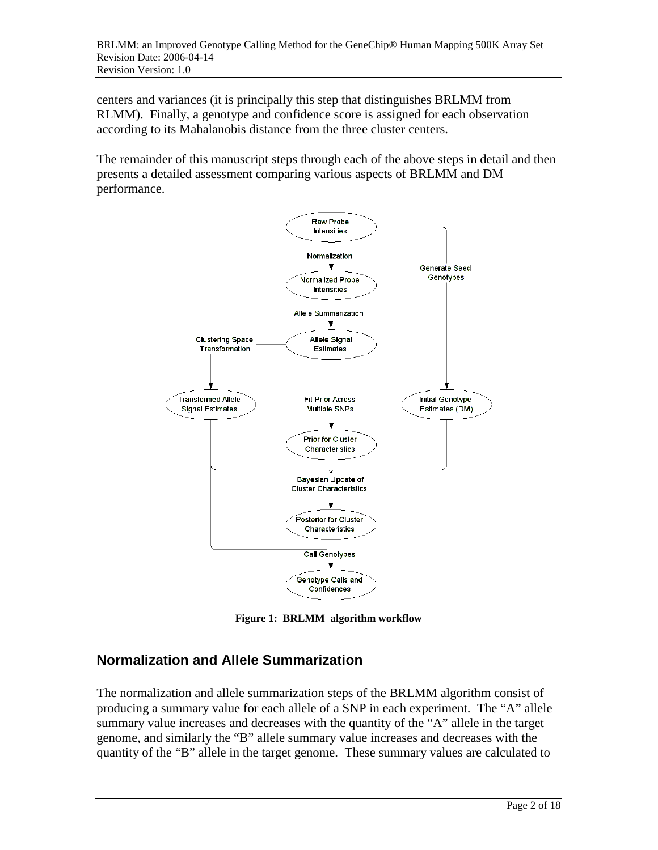centers and variances (it is principally this step that distinguishes BRLMM from RLMM). Finally, a genotype and confidence score is assigned for each observation according to its Mahalanobis distance from the three cluster centers.

The remainder of this manuscript steps through each of the above steps in detail and then presents a detailed assessment comparing various aspects of BRLMM and DM performance.



**Figure 1: BRLMM algorithm workflow** 

## **Normalization and Allele Summarization**

The normalization and allele summarization steps of the BRLMM algorithm consist of producing a summary value for each allele of a SNP in each experiment. The "A" allele summary value increases and decreases with the quantity of the "A" allele in the target genome, and similarly the "B" allele summary value increases and decreases with the quantity of the "B" allele in the target genome. These summary values are calculated to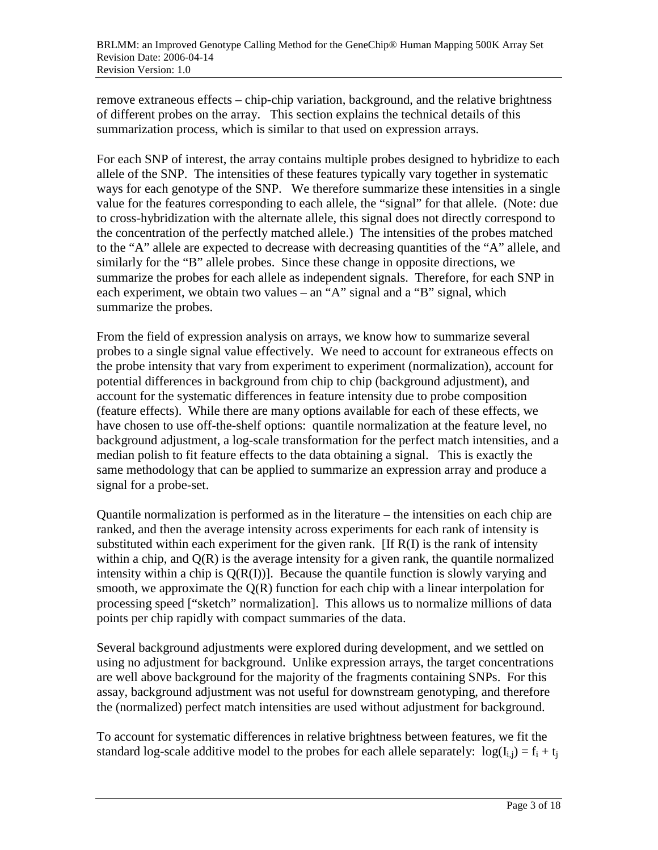remove extraneous effects – chip-chip variation, background, and the relative brightness of different probes on the array. This section explains the technical details of this summarization process, which is similar to that used on expression arrays.

For each SNP of interest, the array contains multiple probes designed to hybridize to each allele of the SNP. The intensities of these features typically vary together in systematic ways for each genotype of the SNP. We therefore summarize these intensities in a single value for the features corresponding to each allele, the "signal" for that allele. (Note: due to cross-hybridization with the alternate allele, this signal does not directly correspond to the concentration of the perfectly matched allele.) The intensities of the probes matched to the "A" allele are expected to decrease with decreasing quantities of the "A" allele, and similarly for the "B" allele probes. Since these change in opposite directions, we summarize the probes for each allele as independent signals. Therefore, for each SNP in each experiment, we obtain two values – an "A" signal and a "B" signal, which summarize the probes.

From the field of expression analysis on arrays, we know how to summarize several probes to a single signal value effectively. We need to account for extraneous effects on the probe intensity that vary from experiment to experiment (normalization), account for potential differences in background from chip to chip (background adjustment), and account for the systematic differences in feature intensity due to probe composition (feature effects). While there are many options available for each of these effects, we have chosen to use off-the-shelf options: quantile normalization at the feature level, no background adjustment, a log-scale transformation for the perfect match intensities, and a median polish to fit feature effects to the data obtaining a signal. This is exactly the same methodology that can be applied to summarize an expression array and produce a signal for a probe-set.

Quantile normalization is performed as in the literature – the intensities on each chip are ranked, and then the average intensity across experiments for each rank of intensity is substituted within each experiment for the given rank. [If  $R(I)$  is the rank of intensity within a chip, and  $Q(R)$  is the average intensity for a given rank, the quantile normalized intensity within a chip is  $Q(R(I))$ . Because the quantile function is slowly varying and smooth, we approximate the  $Q(R)$  function for each chip with a linear interpolation for processing speed ["sketch" normalization]. This allows us to normalize millions of data points per chip rapidly with compact summaries of the data.

Several background adjustments were explored during development, and we settled on using no adjustment for background. Unlike expression arrays, the target concentrations are well above background for the majority of the fragments containing SNPs. For this assay, background adjustment was not useful for downstream genotyping, and therefore the (normalized) perfect match intensities are used without adjustment for background.

To account for systematic differences in relative brightness between features, we fit the standard log-scale additive model to the probes for each allele separately:  $log(I_{i,j}) = f_{i} + t_{i}$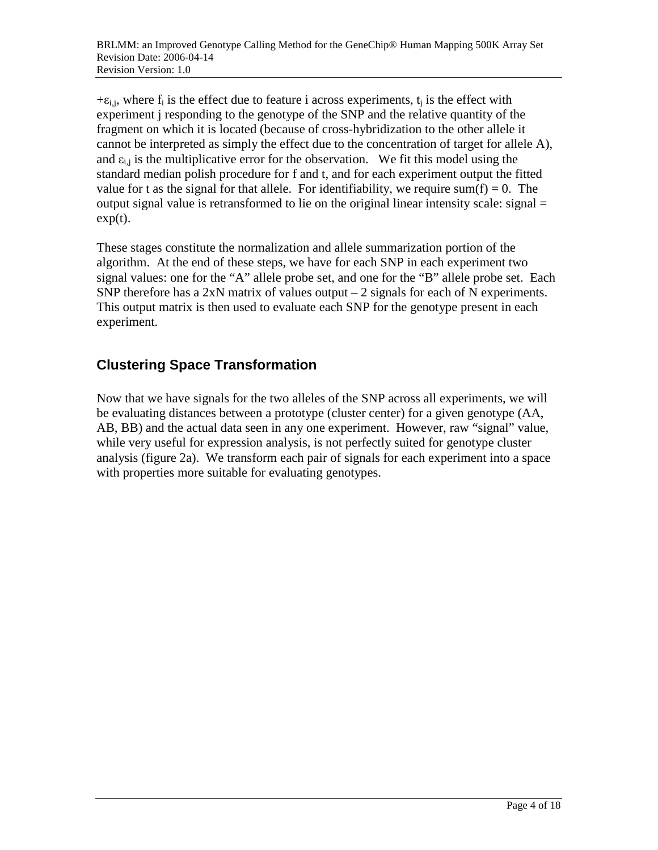$+\varepsilon_{i,j}$ , where  $f_i$  is the effect due to feature i across experiments,  $t_i$  is the effect with experiment j responding to the genotype of the SNP and the relative quantity of the fragment on which it is located (because of cross-hybridization to the other allele it cannot be interpreted as simply the effect due to the concentration of target for allele A), and  $\varepsilon_{i,j}$  is the multiplicative error for the observation. We fit this model using the standard median polish procedure for f and t, and for each experiment output the fitted value for t as the signal for that allele. For identifiability, we require sum(f) = 0. The output signal value is retransformed to lie on the original linear intensity scale: signal =  $exp(t)$ .

These stages constitute the normalization and allele summarization portion of the algorithm. At the end of these steps, we have for each SNP in each experiment two signal values: one for the "A" allele probe set, and one for the "B" allele probe set. Each SNP therefore has a  $2xN$  matrix of values output  $-2$  signals for each of N experiments. This output matrix is then used to evaluate each SNP for the genotype present in each experiment.

## **Clustering Space Transformation**

Now that we have signals for the two alleles of the SNP across all experiments, we will be evaluating distances between a prototype (cluster center) for a given genotype (AA, AB, BB) and the actual data seen in any one experiment. However, raw "signal" value, while very useful for expression analysis, is not perfectly suited for genotype cluster analysis (figure 2a). We transform each pair of signals for each experiment into a space with properties more suitable for evaluating genotypes.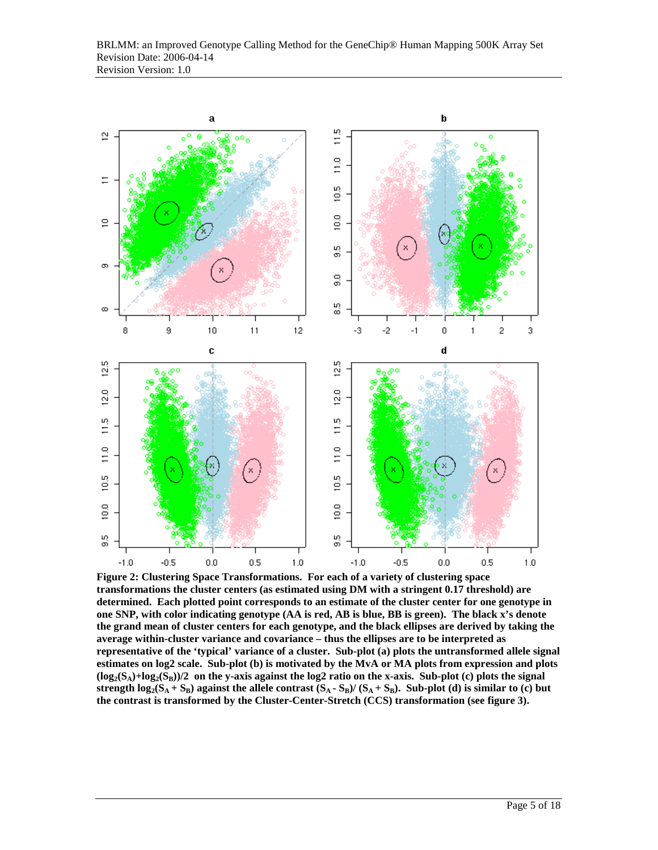

**Figure 2: Clustering Space Transformations. For each of a variety of clustering space transformations the cluster centers (as estimated using DM with a stringent 0.17 threshold) are determined. Each plotted point corresponds to an estimate of the cluster center for one genotype in one SNP, with color indicating genotype (AA is red, AB is blue, BB is green). The black x's denote the grand mean of cluster centers for each genotype, and the black ellipses are derived by taking the average within-cluster variance and covariance – thus the ellipses are to be interpreted as representative of the 'typical' variance of a cluster. Sub-plot (a) plots the untransformed allele signal estimates on log2 scale. Sub-plot (b) is motivated by the MvA or MA plots from expression and plots**   $(log_2(S_A)+log_2(S_B))/2$  on the y-axis against the log2 ratio on the x-axis. Sub-plot (c) plots the signal strength  $log_2(S_A + S_B)$  against the allele contrast  $(S_A - S_B) / (S_A + S_B)$ . Sub-plot (d) is similar to (c) but **the contrast is transformed by the Cluster-Center-Stretch (CCS) transformation (see figure 3).**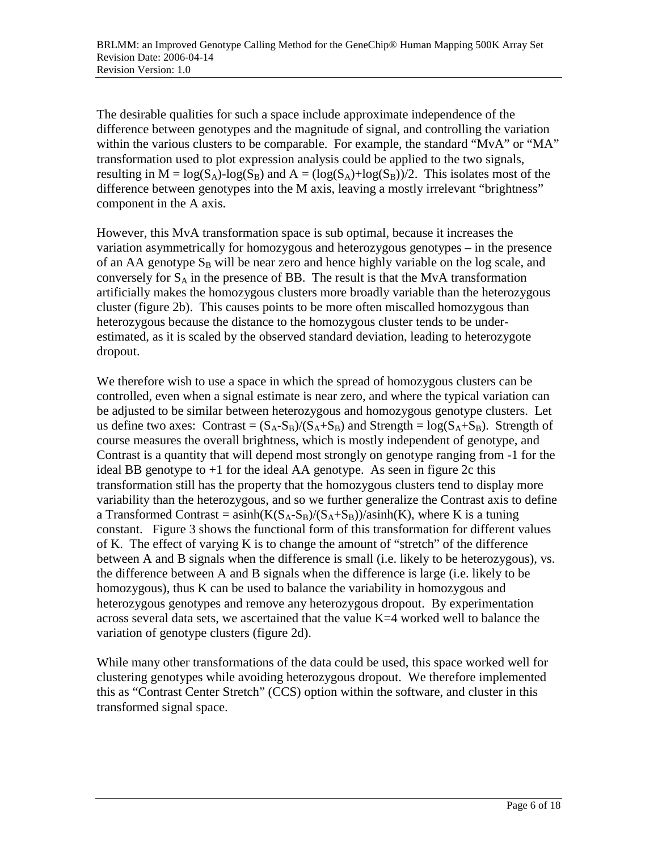The desirable qualities for such a space include approximate independence of the difference between genotypes and the magnitude of signal, and controlling the variation within the various clusters to be comparable. For example, the standard "MvA" or "MA" transformation used to plot expression analysis could be applied to the two signals, resulting in  $M = \log(S_A)$ -log( $S_B$ ) and  $A = (\log(S_A) + \log(S_B))/2$ . This isolates most of the difference between genotypes into the M axis, leaving a mostly irrelevant "brightness" component in the A axis.

However, this MvA transformation space is sub optimal, because it increases the variation asymmetrically for homozygous and heterozygous genotypes – in the presence of an AA genotype  $S_B$  will be near zero and hence highly variable on the log scale, and conversely for  $S_A$  in the presence of BB. The result is that the MvA transformation artificially makes the homozygous clusters more broadly variable than the heterozygous cluster (figure 2b). This causes points to be more often miscalled homozygous than heterozygous because the distance to the homozygous cluster tends to be underestimated, as it is scaled by the observed standard deviation, leading to heterozygote dropout.

We therefore wish to use a space in which the spread of homozygous clusters can be controlled, even when a signal estimate is near zero, and where the typical variation can be adjusted to be similar between heterozygous and homozygous genotype clusters. Let us define two axes: Contrast =  $(S_A-S_B)/(S_A+S_B)$  and Strength =  $log(S_A+S_B)$ . Strength of course measures the overall brightness, which is mostly independent of genotype, and Contrast is a quantity that will depend most strongly on genotype ranging from -1 for the ideal BB genotype to +1 for the ideal AA genotype. As seen in figure 2c this transformation still has the property that the homozygous clusters tend to display more variability than the heterozygous, and so we further generalize the Contrast axis to define a Transformed Contrast =  $a\sinh(K(S_A-S_B)/(S_A+S_B))/a\sinh(K)$ , where K is a tuning constant. Figure 3 shows the functional form of this transformation for different values of K. The effect of varying K is to change the amount of "stretch" of the difference between A and B signals when the difference is small (i.e. likely to be heterozygous), vs. the difference between A and B signals when the difference is large (i.e. likely to be homozygous), thus K can be used to balance the variability in homozygous and heterozygous genotypes and remove any heterozygous dropout. By experimentation across several data sets, we ascertained that the value K=4 worked well to balance the variation of genotype clusters (figure 2d).

While many other transformations of the data could be used, this space worked well for clustering genotypes while avoiding heterozygous dropout. We therefore implemented this as "Contrast Center Stretch" (CCS) option within the software, and cluster in this transformed signal space.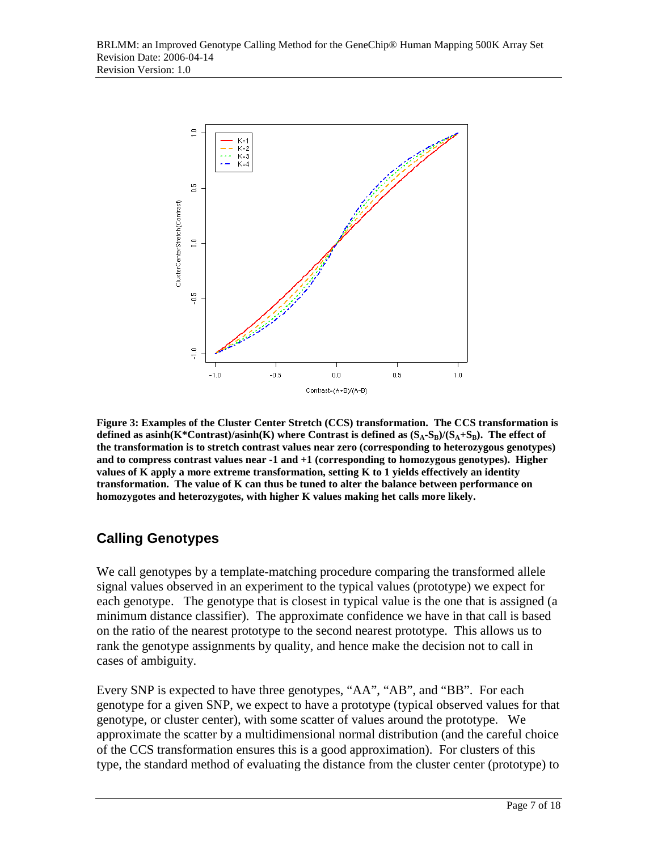

**Figure 3: Examples of the Cluster Center Stretch (CCS) transformation. The CCS transformation is**  defined as  $asinh(K*Contrast)/asinh(K)$  where Contrast is defined as  $(S_A-S_B)/(S_A+S_B)$ . The effect of **the transformation is to stretch contrast values near zero (corresponding to heterozygous genotypes) and to compress contrast values near -1 and +1 (corresponding to homozygous genotypes). Higher values of K apply a more extreme transformation, setting K to 1 yields effectively an identity transformation. The value of K can thus be tuned to alter the balance between performance on homozygotes and heterozygotes, with higher K values making het calls more likely.** 

## **Calling Genotypes**

We call genotypes by a template-matching procedure comparing the transformed allele signal values observed in an experiment to the typical values (prototype) we expect for each genotype. The genotype that is closest in typical value is the one that is assigned (a minimum distance classifier). The approximate confidence we have in that call is based on the ratio of the nearest prototype to the second nearest prototype. This allows us to rank the genotype assignments by quality, and hence make the decision not to call in cases of ambiguity.

Every SNP is expected to have three genotypes, "AA", "AB", and "BB". For each genotype for a given SNP, we expect to have a prototype (typical observed values for that genotype, or cluster center), with some scatter of values around the prototype. We approximate the scatter by a multidimensional normal distribution (and the careful choice of the CCS transformation ensures this is a good approximation). For clusters of this type, the standard method of evaluating the distance from the cluster center (prototype) to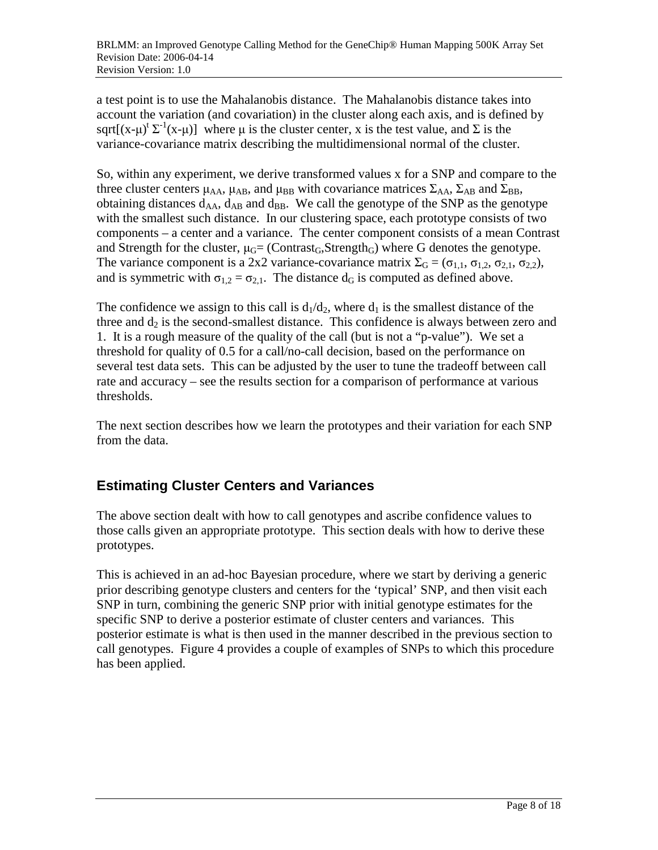a test point is to use the Mahalanobis distance. The Mahalanobis distance takes into account the variation (and covariation) in the cluster along each axis, and is defined by sqrt[ $(x-\mu)^t \Sigma^{-1}(x-\mu)$ ] where  $\mu$  is the cluster center, x is the test value, and  $\Sigma$  is the variance-covariance matrix describing the multidimensional normal of the cluster.

So, within any experiment, we derive transformed values x for a SNP and compare to the three cluster centers  $\mu_{AA}$ ,  $\mu_{AB}$ , and  $\mu_{BB}$  with covariance matrices  $\Sigma_{AA}$ ,  $\Sigma_{AB}$  and  $\Sigma_{BB}$ , obtaining distances  $d_{AA}$ ,  $d_{AB}$  and  $d_{BB}$ . We call the genotype of the SNP as the genotype with the smallest such distance. In our clustering space, each prototype consists of two components – a center and a variance. The center component consists of a mean Contrast and Strength for the cluster,  $\mu$ <sup> $\text{G}$ </sup> (Contrast<sub>G</sub>,Strength<sub>G</sub>) where G denotes the genotype. The variance component is a 2x2 variance-covariance matrix  $\Sigma_G = (\sigma_{1,1}, \sigma_{1,2}, \sigma_{2,1}, \sigma_{2,2}),$ and is symmetric with  $\sigma_{1,2} = \sigma_{2,1}$ . The distance d<sub>G</sub> is computed as defined above.

The confidence we assign to this call is  $d_1/d_2$ , where  $d_1$  is the smallest distance of the three and  $d_2$  is the second-smallest distance. This confidence is always between zero and 1. It is a rough measure of the quality of the call (but is not a "p-value"). We set a threshold for quality of 0.5 for a call/no-call decision, based on the performance on several test data sets. This can be adjusted by the user to tune the tradeoff between call rate and accuracy – see the results section for a comparison of performance at various thresholds.

The next section describes how we learn the prototypes and their variation for each SNP from the data.

# **Estimating Cluster Centers and Variances**

The above section dealt with how to call genotypes and ascribe confidence values to those calls given an appropriate prototype. This section deals with how to derive these prototypes.

This is achieved in an ad-hoc Bayesian procedure, where we start by deriving a generic prior describing genotype clusters and centers for the 'typical' SNP, and then visit each SNP in turn, combining the generic SNP prior with initial genotype estimates for the specific SNP to derive a posterior estimate of cluster centers and variances. This posterior estimate is what is then used in the manner described in the previous section to call genotypes. Figure 4 provides a couple of examples of SNPs to which this procedure has been applied.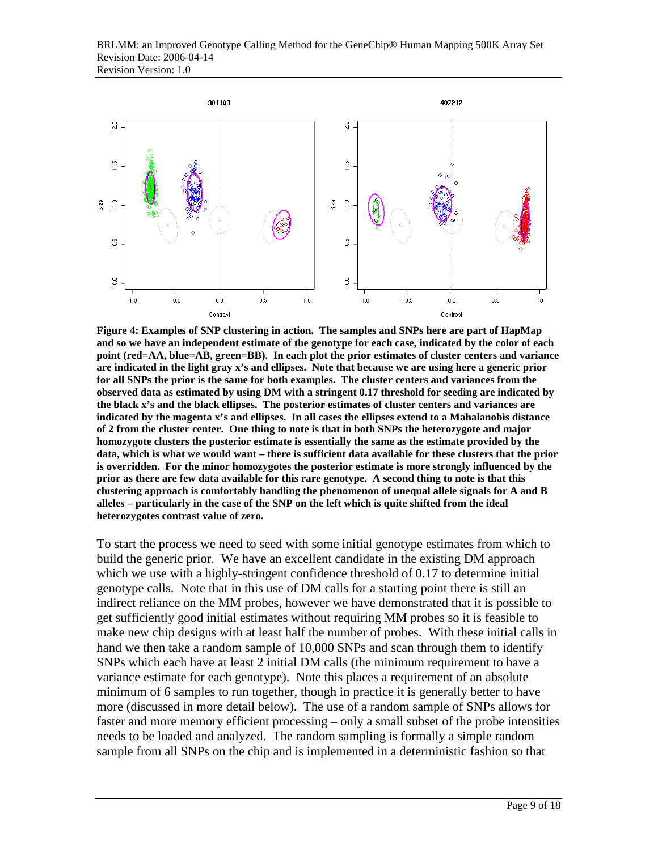

**Figure 4: Examples of SNP clustering in action. The samples and SNPs here are part of HapMap and so we have an independent estimate of the genotype for each case, indicated by the color of each point (red=AA, blue=AB, green=BB). In each plot the prior estimates of cluster centers and variance are indicated in the light gray x's and ellipses. Note that because we are using here a generic prior for all SNPs the prior is the same for both examples. The cluster centers and variances from the observed data as estimated by using DM with a stringent 0.17 threshold for seeding are indicated by the black x's and the black ellipses. The posterior estimates of cluster centers and variances are indicated by the magenta x's and ellipses. In all cases the ellipses extend to a Mahalanobis distance of 2 from the cluster center. One thing to note is that in both SNPs the heterozygote and major homozygote clusters the posterior estimate is essentially the same as the estimate provided by the data, which is what we would want – there is sufficient data available for these clusters that the prior is overridden. For the minor homozygotes the posterior estimate is more strongly influenced by the prior as there are few data available for this rare genotype. A second thing to note is that this clustering approach is comfortably handling the phenomenon of unequal allele signals for A and B alleles – particularly in the case of the SNP on the left which is quite shifted from the ideal heterozygotes contrast value of zero.** 

To start the process we need to seed with some initial genotype estimates from which to build the generic prior. We have an excellent candidate in the existing DM approach which we use with a highly-stringent confidence threshold of 0.17 to determine initial genotype calls. Note that in this use of DM calls for a starting point there is still an indirect reliance on the MM probes, however we have demonstrated that it is possible to get sufficiently good initial estimates without requiring MM probes so it is feasible to make new chip designs with at least half the number of probes. With these initial calls in hand we then take a random sample of 10,000 SNPs and scan through them to identify SNPs which each have at least 2 initial DM calls (the minimum requirement to have a variance estimate for each genotype). Note this places a requirement of an absolute minimum of 6 samples to run together, though in practice it is generally better to have more (discussed in more detail below). The use of a random sample of SNPs allows for faster and more memory efficient processing – only a small subset of the probe intensities needs to be loaded and analyzed. The random sampling is formally a simple random sample from all SNPs on the chip and is implemented in a deterministic fashion so that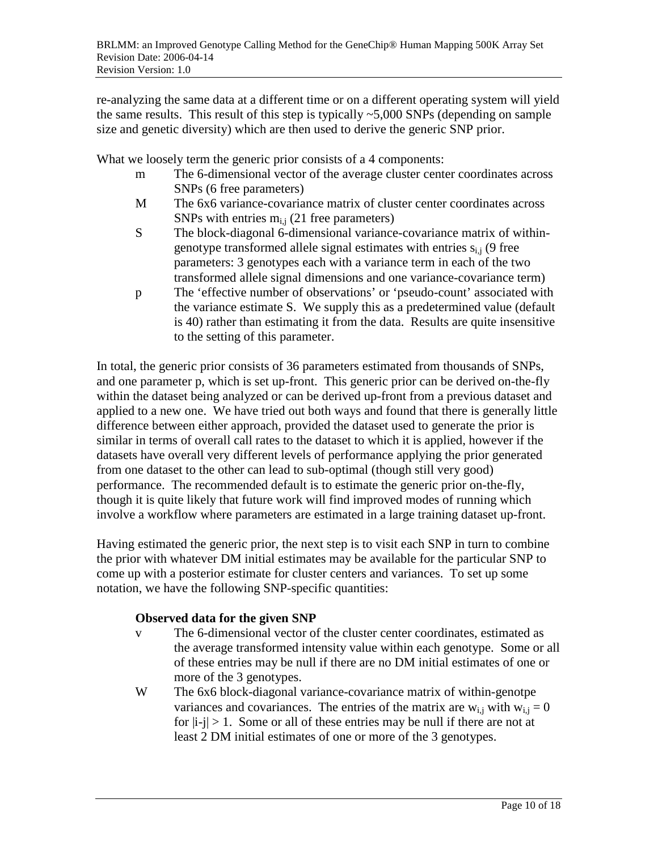re-analyzing the same data at a different time or on a different operating system will yield the same results. This result of this step is typically  $\sim$  5,000 SNPs (depending on sample size and genetic diversity) which are then used to derive the generic SNP prior.

What we loosely term the generic prior consists of a 4 components:

- m The 6-dimensional vector of the average cluster center coordinates across SNPs (6 free parameters)
- M The 6x6 variance-covariance matrix of cluster center coordinates across SNPs with entries  $m<sub>i,i</sub>$  (21 free parameters)
- S The block-diagonal 6-dimensional variance-covariance matrix of withingenotype transformed allele signal estimates with entries  $s_{i,j}$  (9 free parameters: 3 genotypes each with a variance term in each of the two transformed allele signal dimensions and one variance-covariance term)
- p The 'effective number of observations' or 'pseudo-count' associated with the variance estimate S. We supply this as a predetermined value (default is 40) rather than estimating it from the data. Results are quite insensitive to the setting of this parameter.

In total, the generic prior consists of 36 parameters estimated from thousands of SNPs, and one parameter p, which is set up-front. This generic prior can be derived on-the-fly within the dataset being analyzed or can be derived up-front from a previous dataset and applied to a new one. We have tried out both ways and found that there is generally little difference between either approach, provided the dataset used to generate the prior is similar in terms of overall call rates to the dataset to which it is applied, however if the datasets have overall very different levels of performance applying the prior generated from one dataset to the other can lead to sub-optimal (though still very good) performance. The recommended default is to estimate the generic prior on-the-fly, though it is quite likely that future work will find improved modes of running which involve a workflow where parameters are estimated in a large training dataset up-front.

Having estimated the generic prior, the next step is to visit each SNP in turn to combine the prior with whatever DM initial estimates may be available for the particular SNP to come up with a posterior estimate for cluster centers and variances. To set up some notation, we have the following SNP-specific quantities:

#### **Observed data for the given SNP**

- v The 6-dimensional vector of the cluster center coordinates, estimated as the average transformed intensity value within each genotype. Some or all of these entries may be null if there are no DM initial estimates of one or more of the 3 genotypes.
- W The 6x6 block-diagonal variance-covariance matrix of within-genotpe variances and covariances. The entries of the matrix are  $w_{i,j}$  with  $w_{i,j} = 0$ for  $|i-i| > 1$ . Some or all of these entries may be null if there are not at least 2 DM initial estimates of one or more of the 3 genotypes.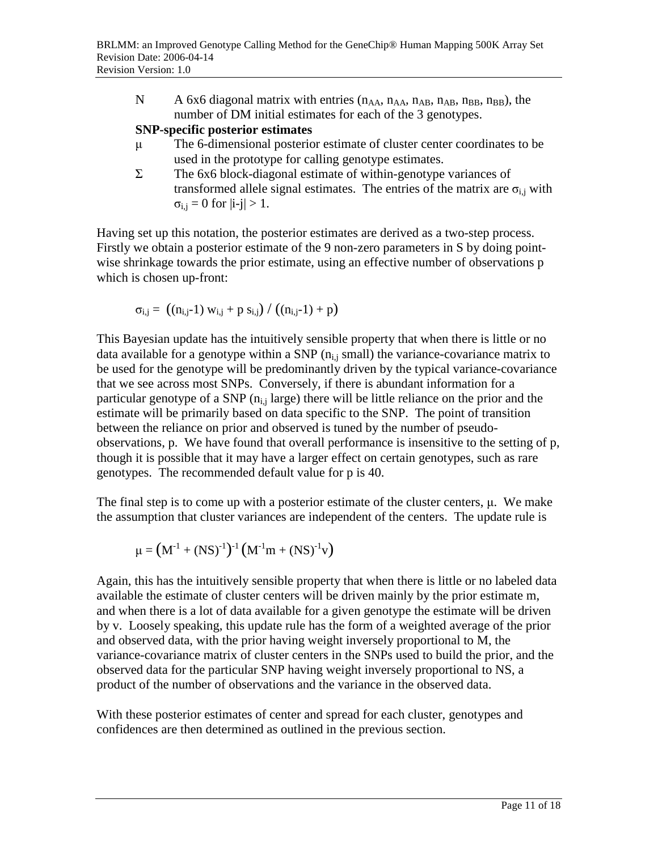N A 6x6 diagonal matrix with entries  $(n_{AA}, n_{AA}, n_{AB}, n_{AB}, n_{BB}, n_{BB})$ , the number of DM initial estimates for each of the 3 genotypes.

### **SNP-specific posterior estimates**

- µ The 6-dimensional posterior estimate of cluster center coordinates to be used in the prototype for calling genotype estimates.
- Σ The 6x6 block-diagonal estimate of within-genotype variances of transformed allele signal estimates. The entries of the matrix are  $\sigma_{i,j}$  with  $\sigma_{i,j} = 0$  for  $|i-j| > 1$ .

Having set up this notation, the posterior estimates are derived as a two-step process. Firstly we obtain a posterior estimate of the 9 non-zero parameters in S by doing pointwise shrinkage towards the prior estimate, using an effective number of observations p which is chosen up-front:

$$
\sigma_{i,j} = ((n_{i,j}-1) w_{i,j} + p s_{i,j}) / ((n_{i,j}-1) + p)
$$

This Bayesian update has the intuitively sensible property that when there is little or no data available for a genotype within a SNP  $(n_{i,j} \text{ small})$  the variance-covariance matrix to be used for the genotype will be predominantly driven by the typical variance-covariance that we see across most SNPs. Conversely, if there is abundant information for a particular genotype of a SNP  $(n_{i,j}$  large) there will be little reliance on the prior and the estimate will be primarily based on data specific to the SNP. The point of transition between the reliance on prior and observed is tuned by the number of pseudoobservations, p. We have found that overall performance is insensitive to the setting of p, though it is possible that it may have a larger effect on certain genotypes, such as rare genotypes. The recommended default value for p is 40.

The final step is to come up with a posterior estimate of the cluster centers, µ. We make the assumption that cluster variances are independent of the centers. The update rule is

$$
\mu = \left( M^{ \text{-}1} + \left( N S \right)^{\text{-}1} \right)^{\text{-}1} \left( M^{ \text{-}1} m + \left( N S \right)^{\text{-}1} v \right)
$$

Again, this has the intuitively sensible property that when there is little or no labeled data available the estimate of cluster centers will be driven mainly by the prior estimate m, and when there is a lot of data available for a given genotype the estimate will be driven by v. Loosely speaking, this update rule has the form of a weighted average of the prior and observed data, with the prior having weight inversely proportional to M, the variance-covariance matrix of cluster centers in the SNPs used to build the prior, and the observed data for the particular SNP having weight inversely proportional to NS, a product of the number of observations and the variance in the observed data.

With these posterior estimates of center and spread for each cluster, genotypes and confidences are then determined as outlined in the previous section.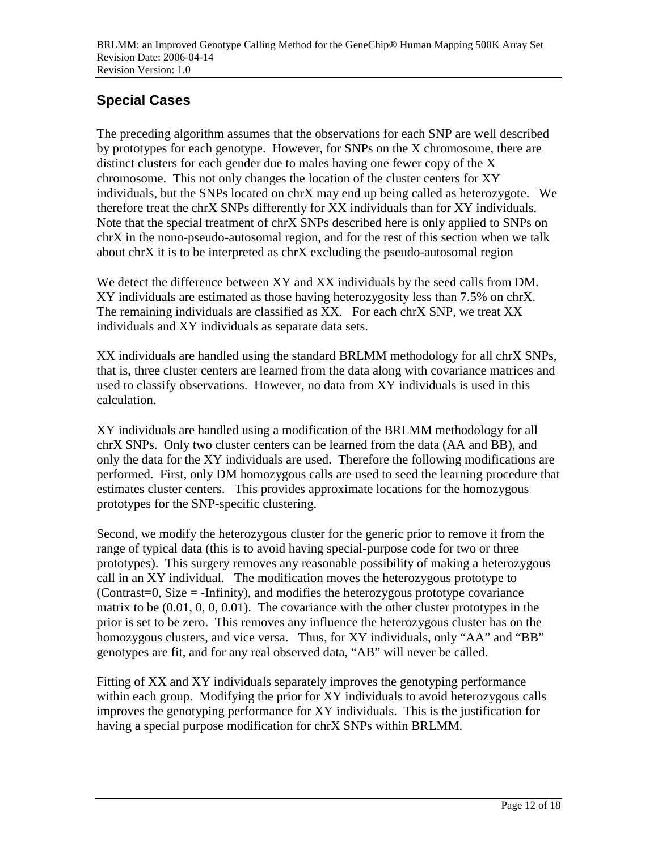# **Special Cases**

The preceding algorithm assumes that the observations for each SNP are well described by prototypes for each genotype. However, for SNPs on the X chromosome, there are distinct clusters for each gender due to males having one fewer copy of the X chromosome. This not only changes the location of the cluster centers for XY individuals, but the SNPs located on chrX may end up being called as heterozygote. We therefore treat the chrX SNPs differently for XX individuals than for XY individuals. Note that the special treatment of chrX SNPs described here is only applied to SNPs on chrX in the nono-pseudo-autosomal region, and for the rest of this section when we talk about chrX it is to be interpreted as chrX excluding the pseudo-autosomal region

We detect the difference between XY and XX individuals by the seed calls from DM. XY individuals are estimated as those having heterozygosity less than 7.5% on chrX. The remaining individuals are classified as XX. For each chrX SNP, we treat XX individuals and XY individuals as separate data sets.

XX individuals are handled using the standard BRLMM methodology for all chrX SNPs, that is, three cluster centers are learned from the data along with covariance matrices and used to classify observations. However, no data from XY individuals is used in this calculation.

XY individuals are handled using a modification of the BRLMM methodology for all chrX SNPs. Only two cluster centers can be learned from the data (AA and BB), and only the data for the XY individuals are used. Therefore the following modifications are performed. First, only DM homozygous calls are used to seed the learning procedure that estimates cluster centers. This provides approximate locations for the homozygous prototypes for the SNP-specific clustering.

Second, we modify the heterozygous cluster for the generic prior to remove it from the range of typical data (this is to avoid having special-purpose code for two or three prototypes). This surgery removes any reasonable possibility of making a heterozygous call in an XY individual. The modification moves the heterozygous prototype to (Contrast=0, Size = -Infinity), and modifies the heterozygous prototype covariance matrix to be (0.01, 0, 0, 0.01). The covariance with the other cluster prototypes in the prior is set to be zero. This removes any influence the heterozygous cluster has on the homozygous clusters, and vice versa. Thus, for XY individuals, only "AA" and "BB" genotypes are fit, and for any real observed data, "AB" will never be called.

Fitting of XX and XY individuals separately improves the genotyping performance within each group. Modifying the prior for XY individuals to avoid heterozygous calls improves the genotyping performance for XY individuals. This is the justification for having a special purpose modification for chrX SNPs within BRLMM.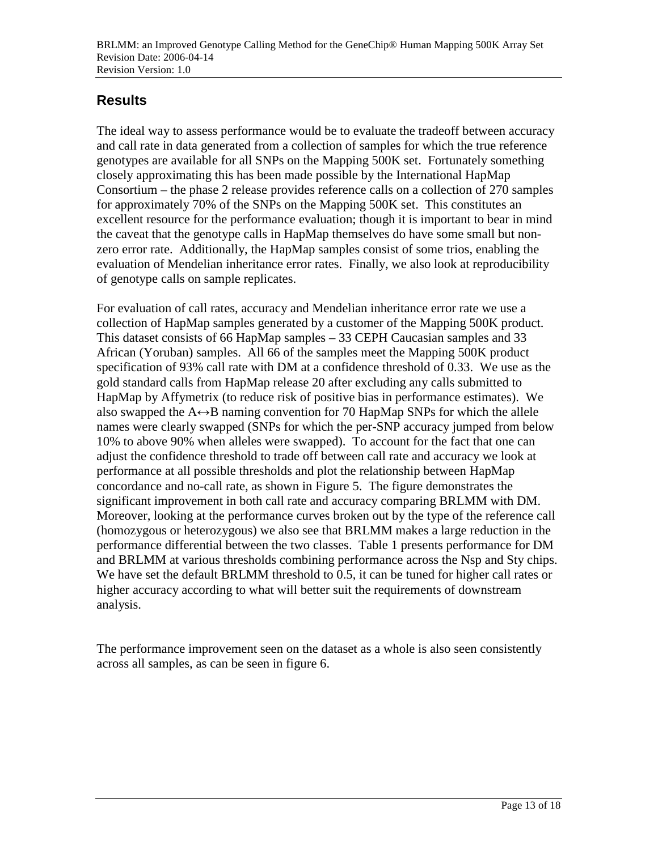# **Results**

The ideal way to assess performance would be to evaluate the tradeoff between accuracy and call rate in data generated from a collection of samples for which the true reference genotypes are available for all SNPs on the Mapping 500K set. Fortunately something closely approximating this has been made possible by the International HapMap Consortium – the phase 2 release provides reference calls on a collection of 270 samples for approximately 70% of the SNPs on the Mapping 500K set. This constitutes an excellent resource for the performance evaluation; though it is important to bear in mind the caveat that the genotype calls in HapMap themselves do have some small but nonzero error rate. Additionally, the HapMap samples consist of some trios, enabling the evaluation of Mendelian inheritance error rates. Finally, we also look at reproducibility of genotype calls on sample replicates.

For evaluation of call rates, accuracy and Mendelian inheritance error rate we use a collection of HapMap samples generated by a customer of the Mapping 500K product. This dataset consists of 66 HapMap samples – 33 CEPH Caucasian samples and 33 African (Yoruban) samples. All 66 of the samples meet the Mapping 500K product specification of 93% call rate with DM at a confidence threshold of 0.33. We use as the gold standard calls from HapMap release 20 after excluding any calls submitted to HapMap by Affymetrix (to reduce risk of positive bias in performance estimates). We also swapped the  $A \leftrightarrow B$  naming convention for 70 HapMap SNPs for which the allele names were clearly swapped (SNPs for which the per-SNP accuracy jumped from below 10% to above 90% when alleles were swapped). To account for the fact that one can adjust the confidence threshold to trade off between call rate and accuracy we look at performance at all possible thresholds and plot the relationship between HapMap concordance and no-call rate, as shown in Figure 5. The figure demonstrates the significant improvement in both call rate and accuracy comparing BRLMM with DM. Moreover, looking at the performance curves broken out by the type of the reference call (homozygous or heterozygous) we also see that BRLMM makes a large reduction in the performance differential between the two classes. Table 1 presents performance for DM and BRLMM at various thresholds combining performance across the Nsp and Sty chips. We have set the default BRLMM threshold to 0.5, it can be tuned for higher call rates or higher accuracy according to what will better suit the requirements of downstream analysis.

The performance improvement seen on the dataset as a whole is also seen consistently across all samples, as can be seen in figure 6.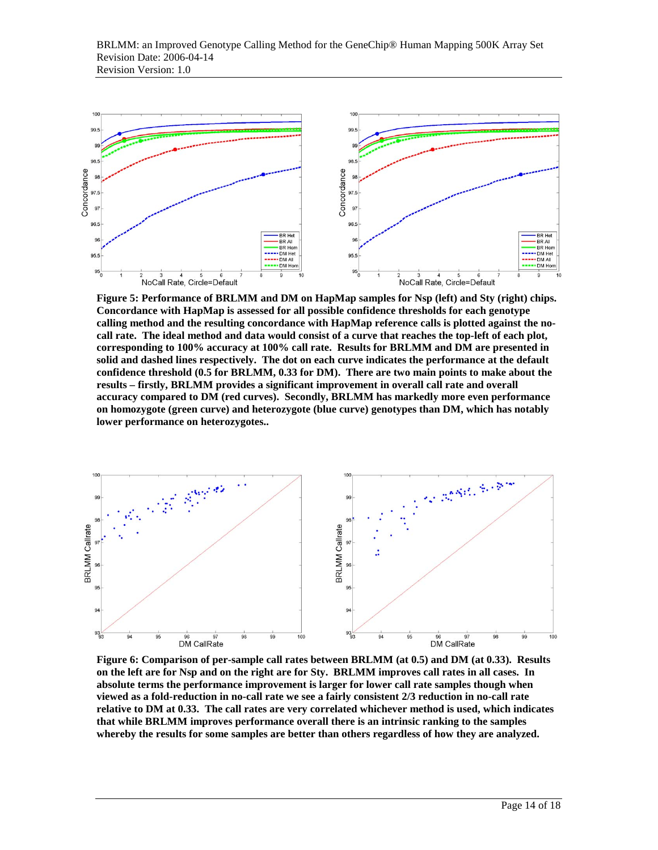

**Figure 5: Performance of BRLMM and DM on HapMap samples for Nsp (left) and Sty (right) chips. Concordance with HapMap is assessed for all possible confidence thresholds for each genotype calling method and the resulting concordance with HapMap reference calls is plotted against the nocall rate. The ideal method and data would consist of a curve that reaches the top-left of each plot, corresponding to 100% accuracy at 100% call rate. Results for BRLMM and DM are presented in solid and dashed lines respectively. The dot on each curve indicates the performance at the default confidence threshold (0.5 for BRLMM, 0.33 for DM). There are two main points to make about the results – firstly, BRLMM provides a significant improvement in overall call rate and overall accuracy compared to DM (red curves). Secondly, BRLMM has markedly more even performance on homozygote (green curve) and heterozygote (blue curve) genotypes than DM, which has notably lower performance on heterozygotes..** 



**Figure 6: Comparison of per-sample call rates between BRLMM (at 0.5) and DM (at 0.33). Results on the left are for Nsp and on the right are for Sty. BRLMM improves call rates in all cases. In absolute terms the performance improvement is larger for lower call rate samples though when viewed as a fold-reduction in no-call rate we see a fairly consistent 2/3 reduction in no-call rate relative to DM at 0.33. The call rates are very correlated whichever method is used, which indicates that while BRLMM improves performance overall there is an intrinsic ranking to the samples whereby the results for some samples are better than others regardless of how they are analyzed.**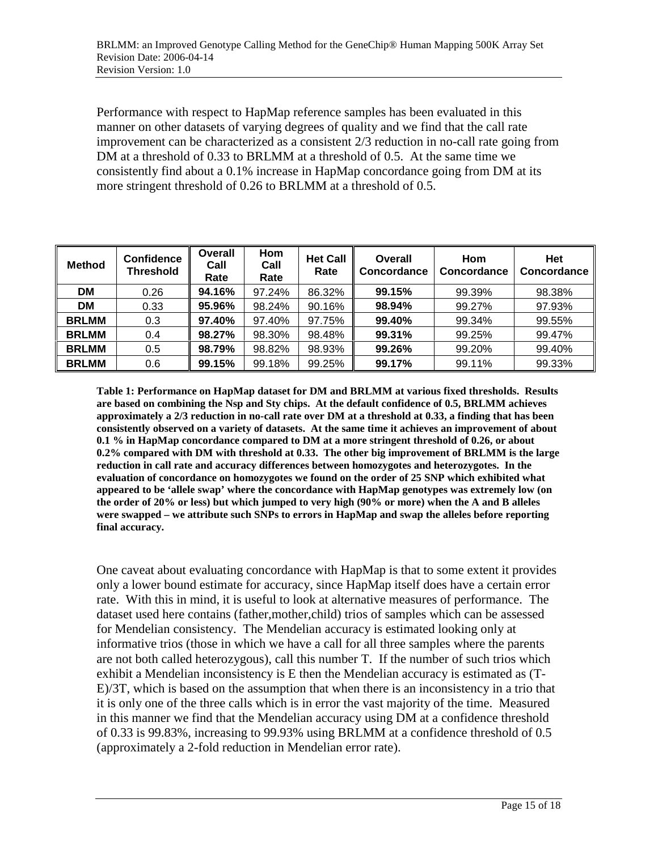Performance with respect to HapMap reference samples has been evaluated in this manner on other datasets of varying degrees of quality and we find that the call rate improvement can be characterized as a consistent 2/3 reduction in no-call rate going from DM at a threshold of 0.33 to BRLMM at a threshold of 0.5. At the same time we consistently find about a 0.1% increase in HapMap concordance going from DM at its more stringent threshold of 0.26 to BRLMM at a threshold of 0.5.

| <b>Method</b> | <b>Confidence</b><br><b>Threshold</b> | Overall<br>Call<br>Rate | Hom<br>Call<br>Rate | <b>Het Call</b><br>Rate | Overall<br>Concordance | <b>Hom</b><br>Concordance | Het<br>Concordance |
|---------------|---------------------------------------|-------------------------|---------------------|-------------------------|------------------------|---------------------------|--------------------|
| DM            | 0.26                                  | 94.16%                  | 97.24%              | 86.32%                  | 99.15%                 | 99.39%                    | 98.38%             |
| DM            | 0.33                                  | 95.96%                  | 98.24%              | 90.16%                  | 98.94%                 | 99.27%                    | 97.93%             |
| <b>BRLMM</b>  | 0.3                                   | 97.40%                  | 97.40%              | 97.75%                  | 99.40%                 | 99.34%                    | 99.55%             |
| <b>BRLMM</b>  | 0.4                                   | 98.27%                  | 98.30%              | 98.48%                  | 99.31%                 | 99.25%                    | 99.47%             |
| <b>BRLMM</b>  | 0.5                                   | 98.79%                  | 98.82%              | 98.93%                  | 99.26%                 | 99.20%                    | 99.40%             |
| <b>BRLMM</b>  | 0.6                                   | 99.15%                  | 99.18%              | 99.25%                  | 99.17%                 | 99.11%                    | 99.33%             |

**Table 1: Performance on HapMap dataset for DM and BRLMM at various fixed thresholds. Results are based on combining the Nsp and Sty chips. At the default confidence of 0.5, BRLMM achieves approximately a 2/3 reduction in no-call rate over DM at a threshold at 0.33, a finding that has been consistently observed on a variety of datasets. At the same time it achieves an improvement of about 0.1 % in HapMap concordance compared to DM at a more stringent threshold of 0.26, or about 0.2% compared with DM with threshold at 0.33. The other big improvement of BRLMM is the large reduction in call rate and accuracy differences between homozygotes and heterozygotes. In the evaluation of concordance on homozygotes we found on the order of 25 SNP which exhibited what appeared to be 'allele swap' where the concordance with HapMap genotypes was extremely low (on the order of 20% or less) but which jumped to very high (90% or more) when the A and B alleles were swapped – we attribute such SNPs to errors in HapMap and swap the alleles before reporting final accuracy.** 

One caveat about evaluating concordance with HapMap is that to some extent it provides only a lower bound estimate for accuracy, since HapMap itself does have a certain error rate. With this in mind, it is useful to look at alternative measures of performance. The dataset used here contains (father,mother,child) trios of samples which can be assessed for Mendelian consistency. The Mendelian accuracy is estimated looking only at informative trios (those in which we have a call for all three samples where the parents are not both called heterozygous), call this number T. If the number of such trios which exhibit a Mendelian inconsistency is E then the Mendelian accuracy is estimated as (T-E)/3T, which is based on the assumption that when there is an inconsistency in a trio that it is only one of the three calls which is in error the vast majority of the time. Measured in this manner we find that the Mendelian accuracy using DM at a confidence threshold of 0.33 is 99.83%, increasing to 99.93% using BRLMM at a confidence threshold of 0.5 (approximately a 2-fold reduction in Mendelian error rate).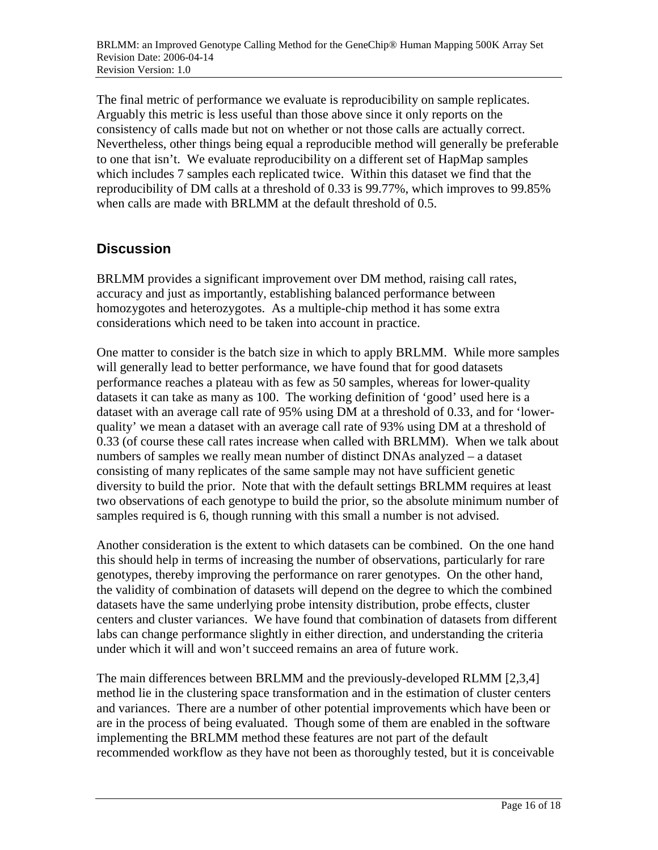The final metric of performance we evaluate is reproducibility on sample replicates. Arguably this metric is less useful than those above since it only reports on the consistency of calls made but not on whether or not those calls are actually correct. Nevertheless, other things being equal a reproducible method will generally be preferable to one that isn't. We evaluate reproducibility on a different set of HapMap samples which includes 7 samples each replicated twice. Within this dataset we find that the reproducibility of DM calls at a threshold of 0.33 is 99.77%, which improves to 99.85% when calls are made with BRLMM at the default threshold of 0.5.

### **Discussion**

BRLMM provides a significant improvement over DM method, raising call rates, accuracy and just as importantly, establishing balanced performance between homozygotes and heterozygotes. As a multiple-chip method it has some extra considerations which need to be taken into account in practice.

One matter to consider is the batch size in which to apply BRLMM. While more samples will generally lead to better performance, we have found that for good datasets performance reaches a plateau with as few as 50 samples, whereas for lower-quality datasets it can take as many as 100. The working definition of 'good' used here is a dataset with an average call rate of 95% using DM at a threshold of 0.33, and for 'lowerquality' we mean a dataset with an average call rate of 93% using DM at a threshold of 0.33 (of course these call rates increase when called with BRLMM). When we talk about numbers of samples we really mean number of distinct DNAs analyzed – a dataset consisting of many replicates of the same sample may not have sufficient genetic diversity to build the prior. Note that with the default settings BRLMM requires at least two observations of each genotype to build the prior, so the absolute minimum number of samples required is 6, though running with this small a number is not advised.

Another consideration is the extent to which datasets can be combined. On the one hand this should help in terms of increasing the number of observations, particularly for rare genotypes, thereby improving the performance on rarer genotypes. On the other hand, the validity of combination of datasets will depend on the degree to which the combined datasets have the same underlying probe intensity distribution, probe effects, cluster centers and cluster variances. We have found that combination of datasets from different labs can change performance slightly in either direction, and understanding the criteria under which it will and won't succeed remains an area of future work.

The main differences between BRLMM and the previously-developed RLMM [2,3,4] method lie in the clustering space transformation and in the estimation of cluster centers and variances. There are a number of other potential improvements which have been or are in the process of being evaluated. Though some of them are enabled in the software implementing the BRLMM method these features are not part of the default recommended workflow as they have not been as thoroughly tested, but it is conceivable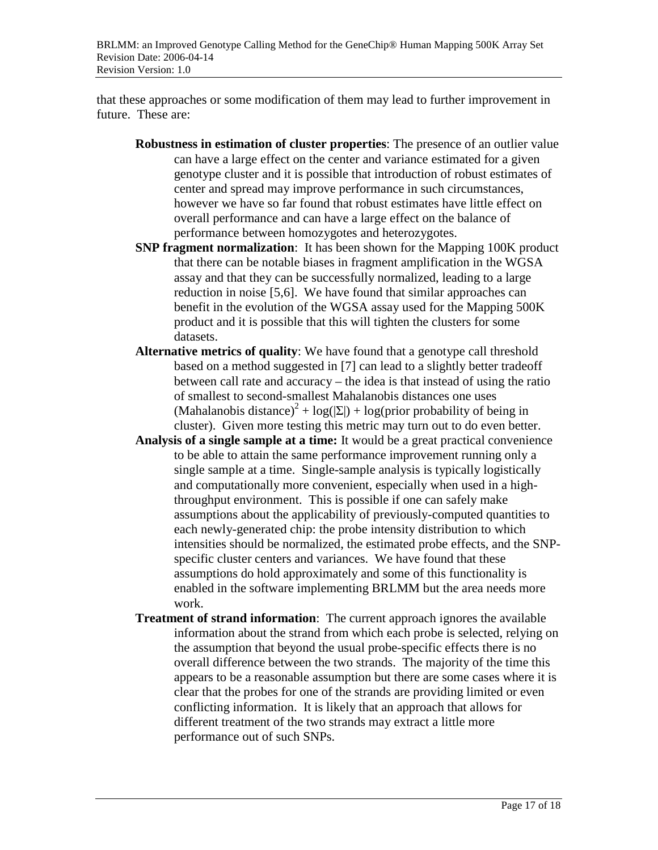that these approaches or some modification of them may lead to further improvement in future. These are:

- **Robustness in estimation of cluster properties**: The presence of an outlier value can have a large effect on the center and variance estimated for a given genotype cluster and it is possible that introduction of robust estimates of center and spread may improve performance in such circumstances, however we have so far found that robust estimates have little effect on overall performance and can have a large effect on the balance of performance between homozygotes and heterozygotes.
- **SNP fragment normalization**: It has been shown for the Mapping 100K product that there can be notable biases in fragment amplification in the WGSA assay and that they can be successfully normalized, leading to a large reduction in noise [5,6]. We have found that similar approaches can benefit in the evolution of the WGSA assay used for the Mapping 500K product and it is possible that this will tighten the clusters for some datasets.
- **Alternative metrics of quality**: We have found that a genotype call threshold based on a method suggested in [7] can lead to a slightly better tradeoff between call rate and accuracy – the idea is that instead of using the ratio of smallest to second-smallest Mahalanobis distances one uses (Mahalanobis distance)<sup>2</sup> + log( $|\Sigma|$ ) + log(prior probability of being in cluster). Given more testing this metric may turn out to do even better.
- **Analysis of a single sample at a time:** It would be a great practical convenience to be able to attain the same performance improvement running only a single sample at a time. Single-sample analysis is typically logistically and computationally more convenient, especially when used in a highthroughput environment. This is possible if one can safely make assumptions about the applicability of previously-computed quantities to each newly-generated chip: the probe intensity distribution to which intensities should be normalized, the estimated probe effects, and the SNPspecific cluster centers and variances. We have found that these assumptions do hold approximately and some of this functionality is enabled in the software implementing BRLMM but the area needs more work.
- **Treatment of strand information**: The current approach ignores the available information about the strand from which each probe is selected, relying on the assumption that beyond the usual probe-specific effects there is no overall difference between the two strands. The majority of the time this appears to be a reasonable assumption but there are some cases where it is clear that the probes for one of the strands are providing limited or even conflicting information. It is likely that an approach that allows for different treatment of the two strands may extract a little more performance out of such SNPs.